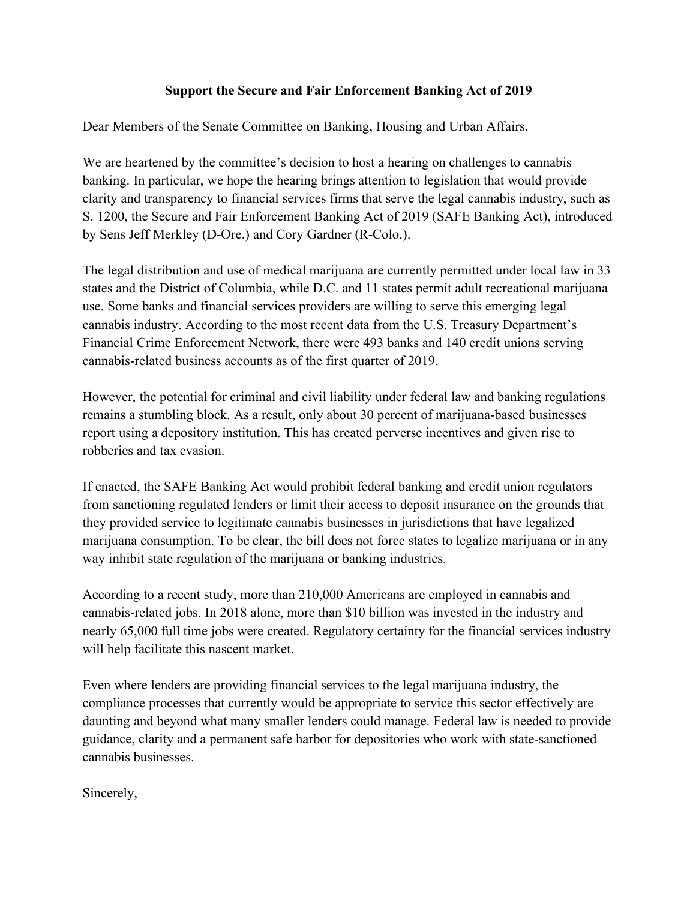## **Support the Secure and Fair Enforcement Banking Act of 2019**

Dear Members of the Senate Committee on Banking, Housing and Urban Affairs,

We are heartened by the committee's decision to host a hearing on challenges to cannabis banking. In particular, we hope the hearing brings attention to legislation that would provide clarity and transparency to financial services firms that serve the legal cannabis industry, such as S. 1200, the Secure and Fair Enforcement Banking Act of 2019 (SAFE Banking Act), introduced by Sens Jeff Merkley (D-Ore.) and Cory Gardner (R-Colo.).

The legal distribution and use of medical marijuana are currently permitted under local law in 33 states and the District of Columbia, while D.C. and 11 states permit adult recreational marijuana use. Some banks and financial services providers are willing to serve this emerging legal cannabis industry. According to the most recent data from the U.S. Treasury Department's Financial Crime Enforcement Network, there were 493 banks and 140 credit unions serving cannabis-related business accounts as of the first quarter of 2019.

However, the potential for criminal and civil liability under federal law and banking regulations remains a stumbling block. As a result, only about 30 percent of marijuana-based businesses report using a depository institution. This has created perverse incentives and given rise to robberies and tax evasion.

If enacted, the SAFE Banking Act would prohibit federal banking and credit union regulators from sanctioning regulated lenders or limit their access to deposit insurance on the grounds that they provided service to legitimate cannabis businesses in jurisdictions that have legalized marijuana consumption. To be clear, the bill does not force states to legalize marijuana or in any way inhibit state regulation of the marijuana or banking industries.

According to a recent study, more than 210,000 Americans are employed in cannabis and cannabis-related jobs. In 2018 alone, more than \$10 billion was invested in the industry and nearly 65,000 full time jobs were created. Regulatory certainty for the financial services industry will help facilitate this nascent market.

Even where lenders are providing financial services to the legal marijuana industry, the compliance processes that currently would be appropriate to service this sector effectively are daunting and beyond what many smaller lenders could manage. Federal law is needed to provide guidance, clarity and a permanent safe harbor for depositories who work with state-sanctioned cannabis businesses.

Sincerely,